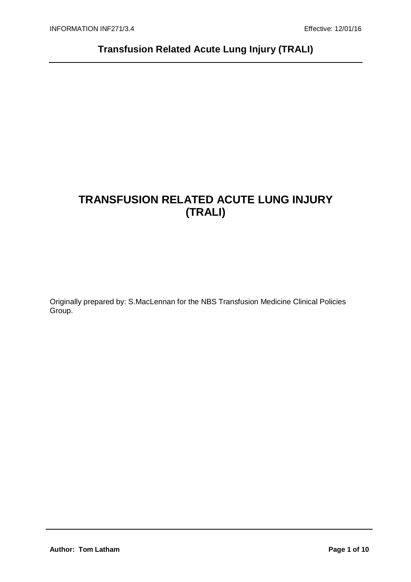# **TRANSFUSION RELATED ACUTE LUNG INJURY (TRALI)**

Originally prepared by: S.MacLennan for the NBS Transfusion Medicine Clinical Policies Group.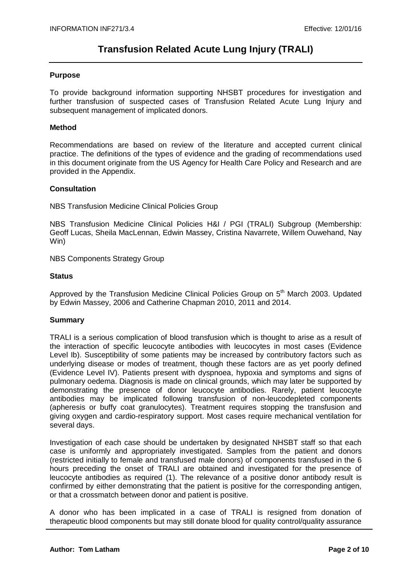### **Purpose**

To provide background information supporting NHSBT procedures for investigation and further transfusion of suspected cases of Transfusion Related Acute Lung Injury and subsequent management of implicated donors.

### **Method**

Recommendations are based on review of the literature and accepted current clinical practice. The definitions of the types of evidence and the grading of recommendations used in this document originate from the US Agency for Health Care Policy and Research and are provided in the Appendix.

## **Consultation**

NBS Transfusion Medicine Clinical Policies Group

NBS Transfusion Medicine Clinical Policies H&I / PGI (TRALI) Subgroup (Membership: Geoff Lucas, Sheila MacLennan, Edwin Massey, Cristina Navarrete, Willem Ouwehand, Nay Win)

NBS Components Strategy Group

## **Status**

Approved by the Transfusion Medicine Clinical Policies Group on 5<sup>th</sup> March 2003. Updated by Edwin Massey, 2006 and Catherine Chapman 2010, 2011 and 2014.

## **Summary**

TRALI is a serious complication of blood transfusion which is thought to arise as a result of the interaction of specific leucocyte antibodies with leucocytes in most cases (Evidence Level Ib). Susceptibility of some patients may be increased by contributory factors such as underlying disease or modes of treatment, though these factors are as yet poorly defined (Evidence Level IV). Patients present with dyspnoea, hypoxia and symptoms and signs of pulmonary oedema. Diagnosis is made on clinical grounds, which may later be supported by demonstrating the presence of donor leucocyte antibodies. Rarely, patient leucocyte antibodies may be implicated following transfusion of non-leucodepleted components (apheresis or buffy coat granulocytes). Treatment requires stopping the transfusion and giving oxygen and cardio-respiratory support. Most cases require mechanical ventilation for several days.

Investigation of each case should be undertaken by designated NHSBT staff so that each case is uniformly and appropriately investigated. Samples from the patient and donors (restricted initially to female and transfused male donors) of components transfused in the 6 hours preceding the onset of TRALI are obtained and investigated for the presence of leucocyte antibodies as required (1). The relevance of a positive donor antibody result is confirmed by either demonstrating that the patient is positive for the corresponding antigen, or that a crossmatch between donor and patient is positive.

A donor who has been implicated in a case of TRALI is resigned from donation of therapeutic blood components but may still donate blood for quality control/quality assurance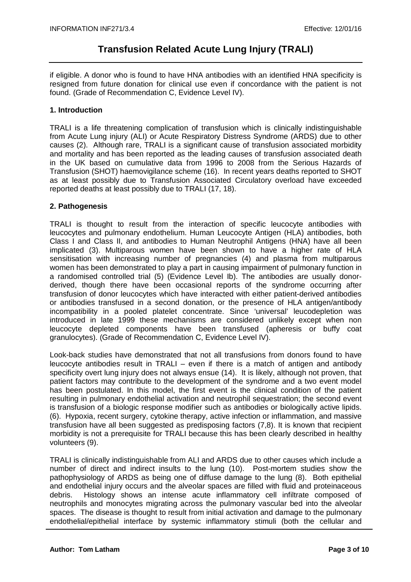if eligible. A donor who is found to have HNA antibodies with an identified HNA specificity is resigned from future donation for clinical use even if concordance with the patient is not found. (Grade of Recommendation C, Evidence Level IV).

## **1. Introduction**

TRALI is a life threatening complication of transfusion which is clinically indistinguishable from Acute Lung injury (ALI) or Acute Respiratory Distress Syndrome (ARDS) due to other causes (2). Although rare, TRALI is a significant cause of transfusion associated morbidity and mortality and has been reported as the leading causes of transfusion associated death in the UK based on cumulative data from 1996 to 2008 from the Serious Hazards of Transfusion (SHOT) haemovigilance scheme (16). In recent years deaths reported to SHOT as at least possibly due to Transfusion Associated Circulatory overload have exceeded reported deaths at least possibly due to TRALI (17, 18).

## **2. Pathogenesis**

TRALI is thought to result from the interaction of specific leucocyte antibodies with leucocytes and pulmonary endothelium. Human Leucocyte Antigen (HLA) antibodies, both Class I and Class II, and antibodies to Human Neutrophil Antigens (HNA) have all been implicated (3). Multiparous women have been shown to have a higher rate of HLA sensitisation with increasing number of pregnancies (4) and plasma from multiparous women has been demonstrated to play a part in causing impairment of pulmonary function in a randomised controlled trial (5) (Evidence Level Ib). The antibodies are usually donorderived, though there have been occasional reports of the syndrome occurring after transfusion of donor leucocytes which have interacted with either patient-derived antibodies or antibodies transfused in a second donation, or the presence of HLA antigen/antibody incompatibility in a pooled platelet concentrate. Since 'universal' leucodepletion was introduced in late 1999 these mechanisms are considered unlikely except when non leucocyte depleted components have been transfused (apheresis or buffy coat granulocytes). (Grade of Recommendation C, Evidence Level IV).

Look-back studies have demonstrated that not all transfusions from donors found to have leucocyte antibodies result in TRALI – even if there is a match of antigen and antibody specificity overt lung injury does not always ensue (14). It is likely, although not proven, that patient factors may contribute to the development of the syndrome and a two event model has been postulated. In this model, the first event is the clinical condition of the patient resulting in pulmonary endothelial activation and neutrophil sequestration; the second event is transfusion of a biologic response modifier such as antibodies or biologically active lipids. (6). Hypoxia, recent surgery, cytokine therapy, active infection or inflammation, and massive transfusion have all been suggested as predisposing factors (7,8). It is known that recipient morbidity is not a prerequisite for TRALI because this has been clearly described in healthy volunteers (9).

TRALI is clinically indistinguishable from ALI and ARDS due to other causes which include a number of direct and indirect insults to the lung (10). Post-mortem studies show the pathophysiology of ARDS as being one of diffuse damage to the lung (8). Both epithelial and endothelial injury occurs and the alveolar spaces are filled with fluid and proteinaceous debris. Histology shows an intense acute inflammatory cell infiltrate composed of neutrophils and monocytes migrating across the pulmonary vascular bed into the alveolar spaces. The disease is thought to result from initial activation and damage to the pulmonary endothelial/epithelial interface by systemic inflammatory stimuli (both the cellular and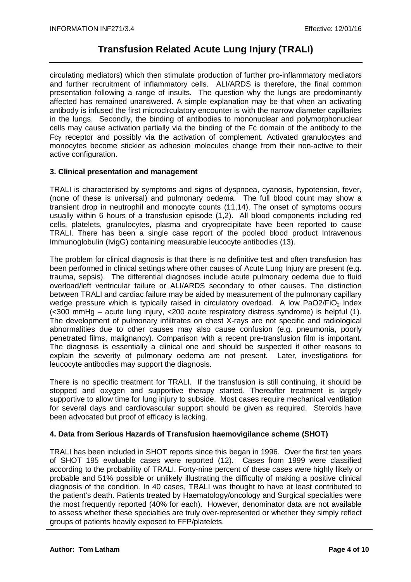circulating mediators) which then stimulate production of further pro-inflammatory mediators and further recruitment of inflammatory cells. ALI/ARDS is therefore, the final common presentation following a range of insults. The question why the lungs are predominantly affected has remained unanswered. A simple explanation may be that when an activating antibody is infused the first microcirculatory encounter is with the narrow diameter capillaries in the lungs. Secondly, the binding of antibodies to mononuclear and polymorphonuclear cells may cause activation partially via the binding of the Fc domain of the antibody to the Fcγ receptor and possibly via the activation of complement. Activated granulocytes and monocytes become stickier as adhesion molecules change from their non-active to their active configuration.

## **3. Clinical presentation and management**

TRALI is characterised by symptoms and signs of dyspnoea, cyanosis, hypotension, fever, (none of these is universal) and pulmonary oedema. The full blood count may show a transient drop in neutrophil and monocyte counts (11,14). The onset of symptoms occurs usually within 6 hours of a transfusion episode (1,2). All blood components including red cells, platelets, granulocytes, plasma and cryoprecipitate have been reported to cause TRALI. There has been a single case report of the pooled blood product Intravenous Immunoglobulin (IvigG) containing measurable leucocyte antibodies (13).

The problem for clinical diagnosis is that there is no definitive test and often transfusion has been performed in clinical settings where other causes of Acute Lung Injury are present (e.g. trauma, sepsis). The differential diagnoses include acute pulmonary oedema due to fluid overload/left ventricular failure or ALI/ARDS secondary to other causes. The distinction between TRALI and cardiac failure may be aided by measurement of the pulmonary capillary wedge pressure which is typically raised in circulatory overload. A low PaO2/FiO<sub>2</sub> Index (<300 mmHg – acute lung injury, <200 acute respiratory distress syndrome) is helpful (1). The development of pulmonary infiltrates on chest X-rays are not specific and radiological abnormalities due to other causes may also cause confusion (e.g. pneumonia, poorly penetrated films, malignancy). Comparison with a recent pre-transfusion film is important. The diagnosis is essentially a clinical one and should be suspected if other reasons to explain the severity of pulmonary oedema are not present. Later, investigations for leucocyte antibodies may support the diagnosis.

There is no specific treatment for TRALI. If the transfusion is still continuing, it should be stopped and oxygen and supportive therapy started. Thereafter treatment is largely supportive to allow time for lung injury to subside. Most cases require mechanical ventilation for several days and cardiovascular support should be given as required. Steroids have been advocated but proof of efficacy is lacking.

## **4. Data from Serious Hazards of Transfusion haemovigilance scheme (SHOT)**

TRALI has been included in SHOT reports since this began in 1996. Over the first ten years of SHOT 195 evaluable cases were reported (12). Cases from 1999 were classified according to the probability of TRALI. Forty-nine percent of these cases were highly likely or probable and 51% possible or unlikely illustrating the difficulty of making a positive clinical diagnosis of the condition. In 40 cases, TRALI was thought to have at least contributed to the patient's death. Patients treated by Haematology/oncology and Surgical specialties were the most frequently reported (40% for each). However, denominator data are not available to assess whether these specialties are truly over-represented or whether they simply reflect groups of patients heavily exposed to FFP/platelets.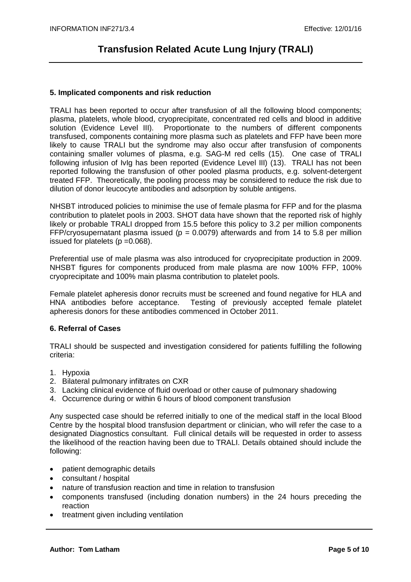### **5. Implicated components and risk reduction**

TRALI has been reported to occur after transfusion of all the following blood components; plasma, platelets, whole blood, cryoprecipitate, concentrated red cells and blood in additive solution (Evidence Level III). Proportionate to the numbers of different components transfused, components containing more plasma such as platelets and FFP have been more likely to cause TRALI but the syndrome may also occur after transfusion of components containing smaller volumes of plasma, e.g. SAG-M red cells (15). One case of TRALI following infusion of IvIg has been reported (Evidence Level III) (13). TRALI has not been reported following the transfusion of other pooled plasma products, e.g. solvent-detergent treated FFP. Theoretically, the pooling process may be considered to reduce the risk due to dilution of donor leucocyte antibodies and adsorption by soluble antigens.

NHSBT introduced policies to minimise the use of female plasma for FFP and for the plasma contribution to platelet pools in 2003. SHOT data have shown that the reported risk of highly likely or probable TRALI dropped from 15.5 before this policy to 3.2 per million components FFP/cryosupernatant plasma issued ( $p = 0.0079$ ) afterwards and from 14 to 5.8 per million issued for platelets  $(p = 0.068)$ .

Preferential use of male plasma was also introduced for cryoprecipitate production in 2009. NHSBT figures for components produced from male plasma are now 100% FFP, 100% cryoprecipitate and 100% main plasma contribution to platelet pools.

Female platelet apheresis donor recruits must be screened and found negative for HLA and HNA antibodies before acceptance. Testing of previously accepted female platelet apheresis donors for these antibodies commenced in October 2011.

### **6. Referral of Cases**

TRALI should be suspected and investigation considered for patients fulfilling the following criteria:

- 1. Hypoxia
- 2. Bilateral pulmonary infiltrates on CXR
- 3. Lacking clinical evidence of fluid overload or other cause of pulmonary shadowing
- 4. Occurrence during or within 6 hours of blood component transfusion

Any suspected case should be referred initially to one of the medical staff in the local Blood Centre by the hospital blood transfusion department or clinician, who will refer the case to a designated Diagnostics consultant. Full clinical details will be requested in order to assess the likelihood of the reaction having been due to TRALI. Details obtained should include the following:

- patient demographic details
- consultant / hospital
- nature of transfusion reaction and time in relation to transfusion
- components transfused (including donation numbers) in the 24 hours preceding the reaction
- treatment given including ventilation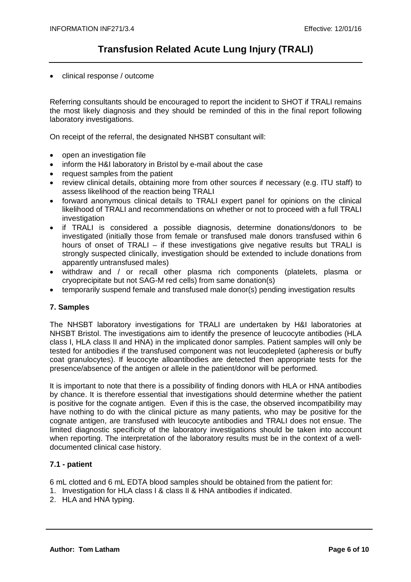• clinical response / outcome

Referring consultants should be encouraged to report the incident to SHOT if TRALI remains the most likely diagnosis and they should be reminded of this in the final report following laboratory investigations.

On receipt of the referral, the designated NHSBT consultant will:

- open an investigation file
- inform the H&I laboratory in Bristol by e-mail about the case
- request samples from the patient
- review clinical details, obtaining more from other sources if necessary (e.g. ITU staff) to assess likelihood of the reaction being TRALI
- forward anonymous clinical details to TRALI expert panel for opinions on the clinical likelihood of TRALI and recommendations on whether or not to proceed with a full TRALI investigation
- if TRALI is considered a possible diagnosis, determine donations/donors to be investigated (initially those from female or transfused male donors transfused within 6 hours of onset of TRALI – if these investigations give negative results but TRALI is strongly suspected clinically, investigation should be extended to include donations from apparently untransfused males)
- withdraw and / or recall other plasma rich components (platelets, plasma or cryoprecipitate but not SAG-M red cells) from same donation(s)
- temporarily suspend female and transfused male donor(s) pending investigation results

## **7. Samples**

The NHSBT laboratory investigations for TRALI are undertaken by H&I laboratories at NHSBT Bristol. The investigations aim to identify the presence of leucocyte antibodies (HLA class I, HLA class II and HNA) in the implicated donor samples. Patient samples will only be tested for antibodies if the transfused component was not leucodepleted (apheresis or buffy coat granulocytes). If leucocyte alloantibodies are detected then appropriate tests for the presence/absence of the antigen or allele in the patient/donor will be performed.

It is important to note that there is a possibility of finding donors with HLA or HNA antibodies by chance. It is therefore essential that investigations should determine whether the patient is positive for the cognate antigen. Even if this is the case, the observed incompatibility may have nothing to do with the clinical picture as many patients, who may be positive for the cognate antigen, are transfused with leucocyte antibodies and TRALI does not ensue. The limited diagnostic specificity of the laboratory investigations should be taken into account when reporting. The interpretation of the laboratory results must be in the context of a welldocumented clinical case history.

### **7.1 - patient**

6 mL clotted and 6 mL EDTA blood samples should be obtained from the patient for:

- 1. Investigation for HLA class I & class II & HNA antibodies if indicated.
- 2. HLA and HNA typing.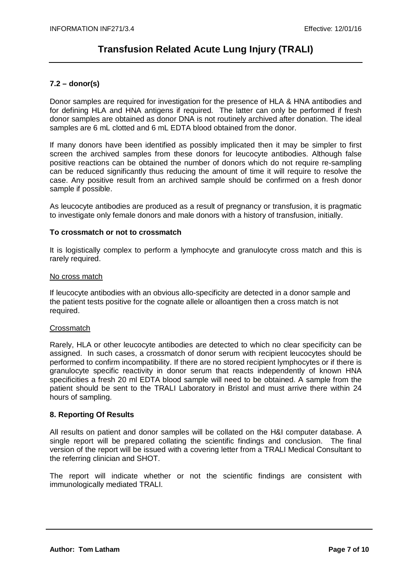## **7.2 – donor(s)**

Donor samples are required for investigation for the presence of HLA & HNA antibodies and for defining HLA and HNA antigens if required. The latter can only be performed if fresh donor samples are obtained as donor DNA is not routinely archived after donation. The ideal samples are 6 mL clotted and 6 mL EDTA blood obtained from the donor.

If many donors have been identified as possibly implicated then it may be simpler to first screen the archived samples from these donors for leucocyte antibodies. Although false positive reactions can be obtained the number of donors which do not require re-sampling can be reduced significantly thus reducing the amount of time it will require to resolve the case. Any positive result from an archived sample should be confirmed on a fresh donor sample if possible.

As leucocyte antibodies are produced as a result of pregnancy or transfusion, it is pragmatic to investigate only female donors and male donors with a history of transfusion, initially.

## **To crossmatch or not to crossmatch**

It is logistically complex to perform a lymphocyte and granulocyte cross match and this is rarely required.

### No cross match

If leucocyte antibodies with an obvious allo-specificity are detected in a donor sample and the patient tests positive for the cognate allele or alloantigen then a cross match is not required.

### **Crossmatch**

Rarely, HLA or other leucocyte antibodies are detected to which no clear specificity can be assigned. In such cases, a crossmatch of donor serum with recipient leucocytes should be performed to confirm incompatibility. If there are no stored recipient lymphocytes or if there is granulocyte specific reactivity in donor serum that reacts independently of known HNA specificities a fresh 20 ml EDTA blood sample will need to be obtained. A sample from the patient should be sent to the TRALI Laboratory in Bristol and must arrive there within 24 hours of sampling.

### **8. Reporting Of Results**

All results on patient and donor samples will be collated on the H&I computer database. A single report will be prepared collating the scientific findings and conclusion. The final version of the report will be issued with a covering letter from a TRALI Medical Consultant to the referring clinician and SHOT.

The report will indicate whether or not the scientific findings are consistent with immunologically mediated TRALI.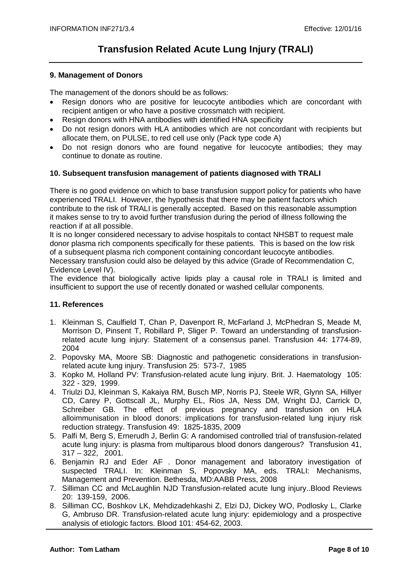### **9. Management of Donors**

The management of the donors should be as follows:

- Resign donors who are positive for leucocyte antibodies which are concordant with recipient antigen or who have a positive crossmatch with recipient.
- Resign donors with HNA antibodies with identified HNA specificity
- Do not resign donors with HLA antibodies which are not concordant with recipients but allocate them, on PULSE, to red cell use only (Pack type code A)
- Do not resign donors who are found negative for leucocyte antibodies; they may continue to donate as routine.

## **10. Subsequent transfusion management of patients diagnosed with TRALI**

There is no good evidence on which to base transfusion support policy for patients who have experienced TRALI. However, the hypothesis that there may be patient factors which contribute to the risk of TRALI is generally accepted. Based on this reasonable assumption it makes sense to try to avoid further transfusion during the period of illness following the reaction if at all possible.

It is no longer considered necessary to advise hospitals to contact NHSBT to request male donor plasma rich components specifically for these patients. This is based on the low risk of a subsequent plasma rich component containing concordant leucocyte antibodies. Necessary transfusion could also be delayed by this advice (Grade of Recommendation C, Evidence Level IV).

The evidence that biologically active lipids play a causal role in TRALI is limited and insufficient to support the use of recently donated or washed cellular components.

### **11. References**

- 1. Kleinman S, Caulfield T, Chan P, Davenport R, McFarland J, McPhedran S, Meade M, Morrison D, Pinsent T, Robillard P, Sliger P. Toward an understanding of transfusionrelated acute lung injury: Statement of a consensus panel. Transfusion 44: 1774-89, 2004
- 2. Popovsky MA, Moore SB: Diagnostic and pathogenetic considerations in transfusionrelated acute lung injury. Transfusion 25: 573-7, 1985
- 3. Kopko M, Holland PV: Transfusion-related acute lung injury. Brit. J. Haematology 105: 322 - 329, 1999.
- 4. Triulzi DJ, Kleinman S, Kakaiya RM, Busch MP, Norris PJ, Steele WR, Glynn SA, Hillyer CD, Carey P, Gottscall JL, Murphy EL, Rios JA, Ness DM, Wright DJ, Carrick D, Schreiber GB. The effect of previous pregnancy and transfusion on HLA alloimmunisation in blood donors: implications for transfusion-related lung injury risk reduction strategy. Transfusion 49: 1825-1835, 2009
- 5. Palfi M, Berg S, Ernerudh J, Berlin G: A randomised controlled trial of transfusion-related acute lung injury: is plasma from multiparous blood donors dangerous? Transfusion 41,  $317 - 322$ , 2001.
- 6. Benjamin RJ and Eder AF . Donor management and laboratory investigation of suspected TRALI. In: Kleinman S, Popovsky MA, eds. TRALI: Mechanisms, Management and Prevention. Bethesda, MD:AABB Press, 2008
- 7. Silliman CC and McLaughlin NJD Transfusion-related acute lung injury..Blood Reviews 20: 139-159, 2006.
- 8. Silliman CC, Boshkov LK, Mehdizadehkashi Z, Elzi DJ, Dickey WO, Podlosky L, Clarke G, Ambruso DR. Transfusion-related acute lung injury: epidemiology and a prospective analysis of etiologic factors. Blood 101: 454-62, 2003.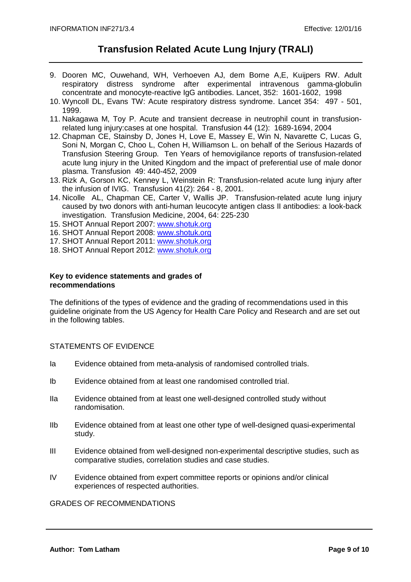- 9. Dooren MC, Ouwehand, WH, Verhoeven AJ, dem Borne A,E, Kuijpers RW. Adult respiratory distress syndrome after experimental intravenous gamma-globulin concentrate and monocyte-reactive IgG antibodies. Lancet, 352: 1601-1602, 1998
- 10. Wyncoll DL, Evans TW: Acute respiratory distress syndrome. Lancet 354: 497 501, 1999.
- 11. Nakagawa M, Toy P. Acute and transient decrease in neutrophil count in transfusionrelated lung injury:cases at one hospital. Transfusion 44 (12): 1689-1694, 2004
- 12. Chapman CE, Stainsby D, Jones H, Love E, Massey E, Win N, Navarette C, Lucas G, Soni N, Morgan C, Choo L, Cohen H, Williamson L. on behalf of the Serious Hazards of Transfusion Steering Group. Ten Years of hemovigilance reports of transfusion-related acute lung injury in the United Kingdom and the impact of preferential use of male donor plasma. Transfusion 49: 440-452, 2009
- 13. Rizk A, Gorson KC, Kenney L, Weinstein R: Transfusion-related acute lung injury after the infusion of IVIG. Transfusion 41(2): 264 - 8, 2001.
- 14. Nicolle AL, Chapman CE, Carter V, Wallis JP. Transfusion-related acute lung injury caused by two donors with anti-human leucocyte antigen class II antibodies: a look-back investigation. Transfusion Medicine, 2004, 64: 225-230
- 15. SHOT Annual Report 2007: www.shotuk.org
- 16. SHOT Annual Report 2008: www.shotuk.org
- 17. SHOT Annual Report 2011: www.shotuk.org
- 18. SHOT Annual Report 2012: www.shotuk.org

### **Key to evidence statements and grades of recommendations**

The definitions of the types of evidence and the grading of recommendations used in this guideline originate from the US Agency for Health Care Policy and Research and are set out in the following tables.

### STATEMENTS OF EVIDENCE

- Ia Evidence obtained from meta-analysis of randomised controlled trials.
- Ib Evidence obtained from at least one randomised controlled trial.
- IIa Evidence obtained from at least one well-designed controlled study without randomisation.
- IIb Evidence obtained from at least one other type of well-designed quasi-experimental study.
- III Evidence obtained from well-designed non-experimental descriptive studies, such as comparative studies, correlation studies and case studies.
- IV Evidence obtained from expert committee reports or opinions and/or clinical experiences of respected authorities.

GRADES OF RECOMMENDATIONS